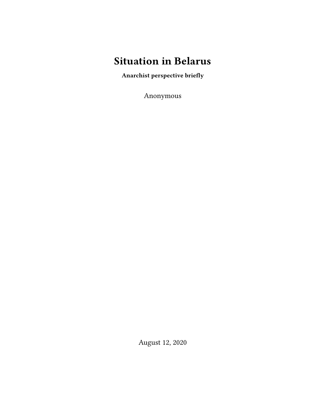## **Situation in Belarus**

**Anarchist perspective briefly**

Anonymous

August 12, 2020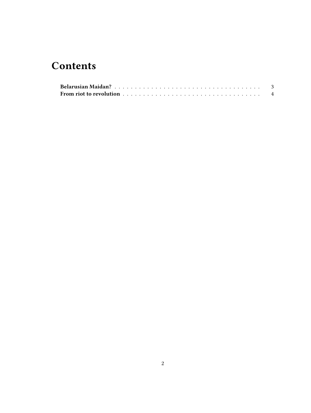## **Contents**

| From riot to revolution $\ldots \ldots \ldots \ldots \ldots \ldots \ldots \ldots \ldots \ldots \ldots$ |  |
|--------------------------------------------------------------------------------------------------------|--|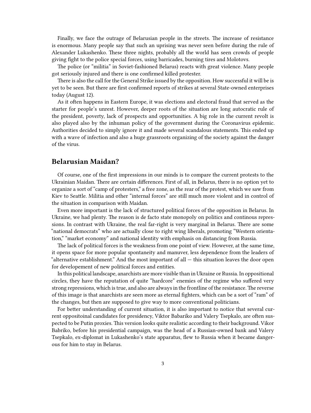Finally, we face the outrage of Belarusian people in the streets. The increase of resistance is enormous. Many people say that such an uprising was never seen before during the rule of Alexander Lukashenko. These three nights, probably all the world has seen crowds of people giving fight to the police special forces, using barricades, burning tires and Molotovs.

The police (or "militia" in Soviet-fashioned Belarus) reacts with great violence. Many people got seriously injured and there is one confirmed killed protester.

There is also the call for the General Strike issued by the opposition. How successful it will be is yet to be seen. But there are first confirmed reports of strikes at several State-owned enterprises today (August 12).

As it often happens in Eastern Europe, it was elections and electoral fraud that served as the starter for people's unrest. However, deeper roots of the situation are long autocratic rule of the president, poverty, lack of prospects and opportunities. A big role in the current revolt is also played also by the inhuman policy of the government during the Coronavirus epidemic. Authorities decided to simply ignore it and made several scandalous statements. This ended up with a wave of infection and also a huge grassroots organizing of the society against the danger of the virus.

## <span id="page-2-0"></span>**Belarusian Maidan?**

Of course, one of the first impressions in our minds is to compare the current protests to the Ukrainian Maidan. There are certain differences. First of all, in Belarus, there is no option yet to organize a sort of "camp of protesters," a free zone, as the rear of the protest, which we saw from Kiev to Seattle. Militia and other "internal forces" are still much more violent and in control of the situation in comparison with Maidan.

Even more important is the lack of structured political forces of the opposition in Belarus. In Ukraine, we had plenty. The reason is de facto state monopoly on politics and continous repressions. In contrast with Ukraine, the real far-right is very marginal in Belarus. There are some "national democrats" who are actually close to right wing liberals, promoting "Western orientation," "market economy" and national identity with emphasis on distancing from Russia.

The lack of political forces is the weakness from one point of view. However, at the same time, it opens space for more popular spontaneity and manuver, less dependence from the leaders of "alternative establishment." And the most important of all — this situation leaves the door open for developement of new political forces and entities.

In this political landscape, anarchists are more visible than in Ukraine or Russia. In oppositional circles, they have the reputation of quite "hardcore" enemies of the regime who suffered very strong repressions, which is true, and also are always in the frontline of the resistance. The reverse of this image is that anarchists are seen more as eternal fighters, which can be a sort of "ram" of the changes, but then are supposed to give way to more conventional politicians.

For better understanding of current situation, it is also important to notice that several current oppositoinal candidates for presidency, Viktor Babariko and Valery Tsepkalo, are often suspected to be Putin proxies. This version looks quite realistic according to their background. Vikor Babriko, before his presidential campaign, was the head of a Russian-owned bank and Valery Tsepkalo, ex-diplomat in Lukashenko's state apparatus, flew to Russia when it became dangerous for him to stay in Belarus.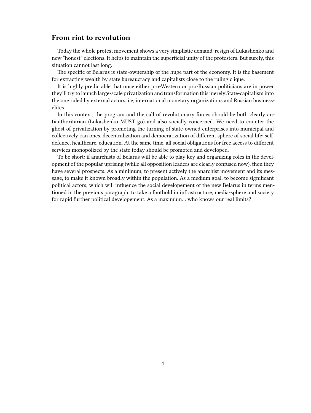## <span id="page-3-0"></span>**From riot to revolution**

Today the whole protest movement shows a very simplistic demand: resign of Lukashenko and new "honest" elections. It helps to maintain the superficial unity of the protesters. But surely, this situation cannot last long.

The specific of Belarus is state-ownership of the huge part of the economy. It is the basement for extracting wealth by state bureaucracy and capitalists close to the ruling clique.

It is highly predictable that once either pro-Western or pro-Russian politicians are in power they'll try to launch large-scale privatization and transformation this merely State-capitalism into the one ruled by external actors, i.e, international monetary organizations and Russian businesselites.

In this context, the program and the call of revolutionary forces should be both clearly antiauthoritarian (Lukashenko MUST go) and also socially-concerned. We need to counter the ghost of privatization by promoting the turning of state-owned enterprises into municipal and collectively-ran ones, decentralization and democratization of different sphere of social life: selfdefence, healthcare, education. At the same time, all social obligations for free access to different services monopolized by the state today should be promoted and developed.

To be short: if anarchists of Belarus will be able to play key and organizing roles in the development of the popular uprising (while all opposition leaders are clearly confused now), then they have several prospects. As a minimum, to present actively the anarchist movement and its message, to make it known broadly within the population. As a medium goal, to become significant political actors, which will influence the social developement of the new Belarus in terms mentioned in the previous paragraph, to take a foothold in infrastructure, media-sphere and society for rapid further political developement. As a maximum… who knows our real limits?